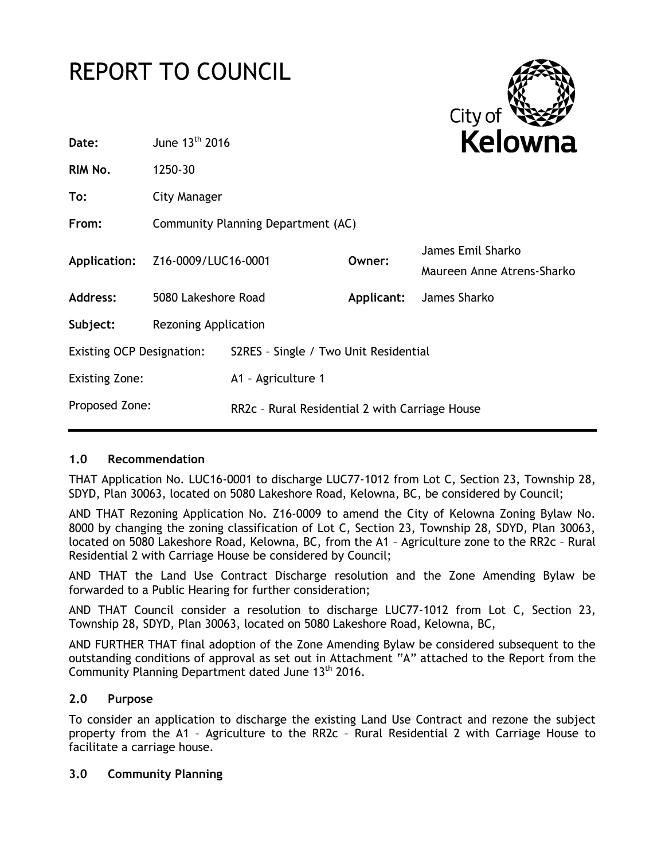# REPORT TO COUNCIL



| Date:                            | June 13 <sup>th</sup> 2016         |                                                | Kelowna    |                                                 |
|----------------------------------|------------------------------------|------------------------------------------------|------------|-------------------------------------------------|
| RIM No.                          | 1250-30                            |                                                |            |                                                 |
| To:                              | City Manager                       |                                                |            |                                                 |
| From:                            | Community Planning Department (AC) |                                                |            |                                                 |
| Application:                     | Z16-0009/LUC16-0001                |                                                | Owner:     | James Emil Sharko<br>Maureen Anne Atrens-Sharko |
| <b>Address:</b>                  | 5080 Lakeshore Road                |                                                | Applicant: | James Sharko                                    |
| Subject:                         | Rezoning Application               |                                                |            |                                                 |
| <b>Existing OCP Designation:</b> |                                    | S2RES - Single / Two Unit Residential          |            |                                                 |
| <b>Existing Zone:</b>            |                                    | A1 - Agriculture 1                             |            |                                                 |
| Proposed Zone:                   |                                    | RR2c - Rural Residential 2 with Carriage House |            |                                                 |

### **1.0 Recommendation**

THAT Application No. LUC16-0001 to discharge LUC77-1012 from Lot C, Section 23, Township 28, SDYD, Plan 30063, located on 5080 Lakeshore Road, Kelowna, BC, be considered by Council;

AND THAT Rezoning Application No. Z16-0009 to amend the City of Kelowna Zoning Bylaw No. 8000 by changing the zoning classification of Lot C, Section 23, Township 28, SDYD, Plan 30063, located on 5080 Lakeshore Road, Kelowna, BC, from the A1 – Agriculture zone to the RR2c – Rural Residential 2 with Carriage House be considered by Council;

AND THAT the Land Use Contract Discharge resolution and the Zone Amending Bylaw be forwarded to a Public Hearing for further consideration;

AND THAT Council consider a resolution to discharge LUC77-1012 from Lot C, Section 23, Township 28, SDYD, Plan 30063, located on 5080 Lakeshore Road, Kelowna, BC,

AND FURTHER THAT final adoption of the Zone Amending Bylaw be considered subsequent to the outstanding conditions of approval as set out in Attachment "A" attached to the Report from the Community Planning Department dated June 13<sup>th</sup> 2016.

## **2.0 Purpose**

To consider an application to discharge the existing Land Use Contract and rezone the subject property from the A1 – Agriculture to the RR2c – Rural Residential 2 with Carriage House to facilitate a carriage house.

### **3.0 Community Planning**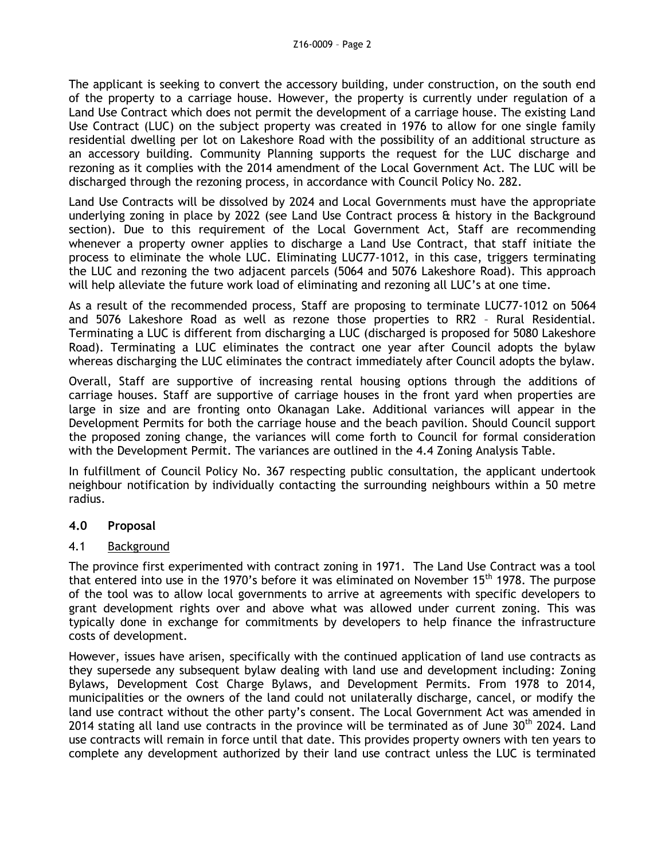The applicant is seeking to convert the accessory building, under construction, on the south end of the property to a carriage house. However, the property is currently under regulation of a Land Use Contract which does not permit the development of a carriage house. The existing Land Use Contract (LUC) on the subject property was created in 1976 to allow for one single family residential dwelling per lot on Lakeshore Road with the possibility of an additional structure as an accessory building. Community Planning supports the request for the LUC discharge and rezoning as it complies with the 2014 amendment of the Local Government Act. The LUC will be discharged through the rezoning process, in accordance with Council Policy No. 282.

Land Use Contracts will be dissolved by 2024 and Local Governments must have the appropriate underlying zoning in place by 2022 (see Land Use Contract process & history in the Background section). Due to this requirement of the Local Government Act, Staff are recommending whenever a property owner applies to discharge a Land Use Contract, that staff initiate the process to eliminate the whole LUC. Eliminating LUC77-1012, in this case, triggers terminating the LUC and rezoning the two adjacent parcels (5064 and 5076 Lakeshore Road). This approach will help alleviate the future work load of eliminating and rezoning all LUC's at one time.

As a result of the recommended process, Staff are proposing to terminate LUC77-1012 on 5064 and 5076 Lakeshore Road as well as rezone those properties to RR2 – Rural Residential. Terminating a LUC is different from discharging a LUC (discharged is proposed for 5080 Lakeshore Road). Terminating a LUC eliminates the contract one year after Council adopts the bylaw whereas discharging the LUC eliminates the contract immediately after Council adopts the bylaw.

Overall, Staff are supportive of increasing rental housing options through the additions of carriage houses. Staff are supportive of carriage houses in the front yard when properties are large in size and are fronting onto Okanagan Lake. Additional variances will appear in the Development Permits for both the carriage house and the beach pavilion. Should Council support the proposed zoning change, the variances will come forth to Council for formal consideration with the Development Permit. The variances are outlined in the 4.4 Zoning Analysis Table.

In fulfillment of Council Policy No. 367 respecting public consultation, the applicant undertook neighbour notification by individually contacting the surrounding neighbours within a 50 metre radius.

### **4.0 Proposal**

### 4.1 Background

The province first experimented with contract zoning in 1971. The Land Use Contract was a tool that entered into use in the 1970's before it was eliminated on November 15<sup>th</sup> 1978. The purpose of the tool was to allow local governments to arrive at agreements with specific developers to grant development rights over and above what was allowed under current zoning. This was typically done in exchange for commitments by developers to help finance the infrastructure costs of development.

However, issues have arisen, specifically with the continued application of land use contracts as they supersede any subsequent bylaw dealing with land use and development including: Zoning Bylaws, Development Cost Charge Bylaws, and Development Permits. From 1978 to 2014, municipalities or the owners of the land could not unilaterally discharge, cancel, or modify the land use contract without the other party's consent. The Local Government Act was amended in 2014 stating all land use contracts in the province will be terminated as of June  $30<sup>th</sup>$  2024. Land use contracts will remain in force until that date. This provides property owners with ten years to complete any development authorized by their land use contract unless the LUC is terminated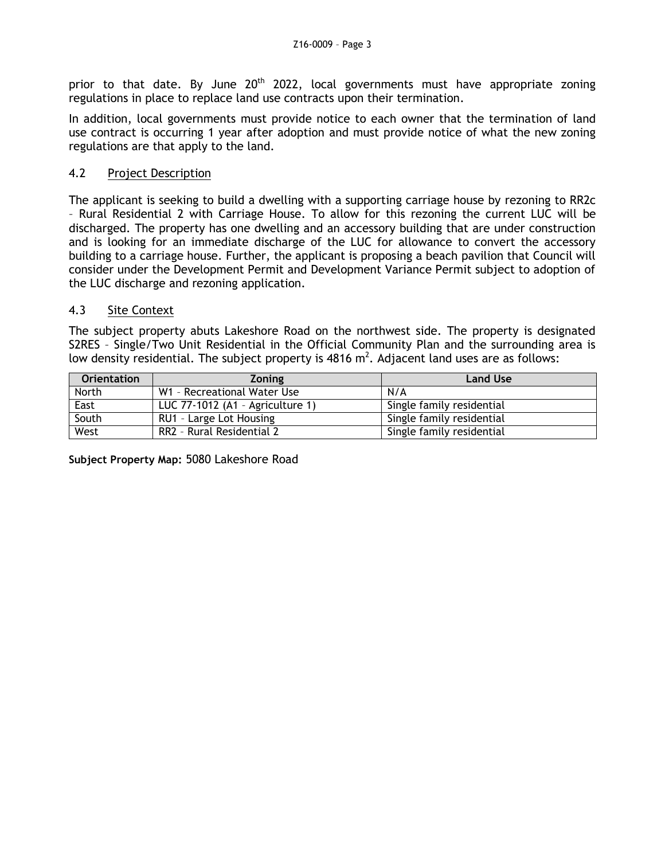prior to that date. By June  $20<sup>th</sup>$  2022, local governments must have appropriate zoning regulations in place to replace land use contracts upon their termination.

In addition, local governments must provide notice to each owner that the termination of land use contract is occurring 1 year after adoption and must provide notice of what the new zoning regulations are that apply to the land.

### 4.2 Project Description

The applicant is seeking to build a dwelling with a supporting carriage house by rezoning to RR2c – Rural Residential 2 with Carriage House. To allow for this rezoning the current LUC will be discharged. The property has one dwelling and an accessory building that are under construction and is looking for an immediate discharge of the LUC for allowance to convert the accessory building to a carriage house. Further, the applicant is proposing a beach pavilion that Council will consider under the Development Permit and Development Variance Permit subject to adoption of the LUC discharge and rezoning application.

### 4.3 Site Context

The subject property abuts Lakeshore Road on the northwest side. The property is designated S2RES – Single/Two Unit Residential in the Official Community Plan and the surrounding area is low density residential. The subject property is  $4816 \text{ m}^2$ . Adjacent land uses are as follows:

| <b>Orientation</b> | <b>Zoning</b>                    | <b>Land Use</b>           |
|--------------------|----------------------------------|---------------------------|
| North              | W1 - Recreational Water Use      | N/A                       |
| East               | LUC 77-1012 (A1 - Agriculture 1) | Single family residential |
| South              | RU1 - Large Lot Housing          | Single family residential |
| West               | RR2 - Rural Residential 2        | Single family residential |

**Subject Property Map:** 5080 Lakeshore Road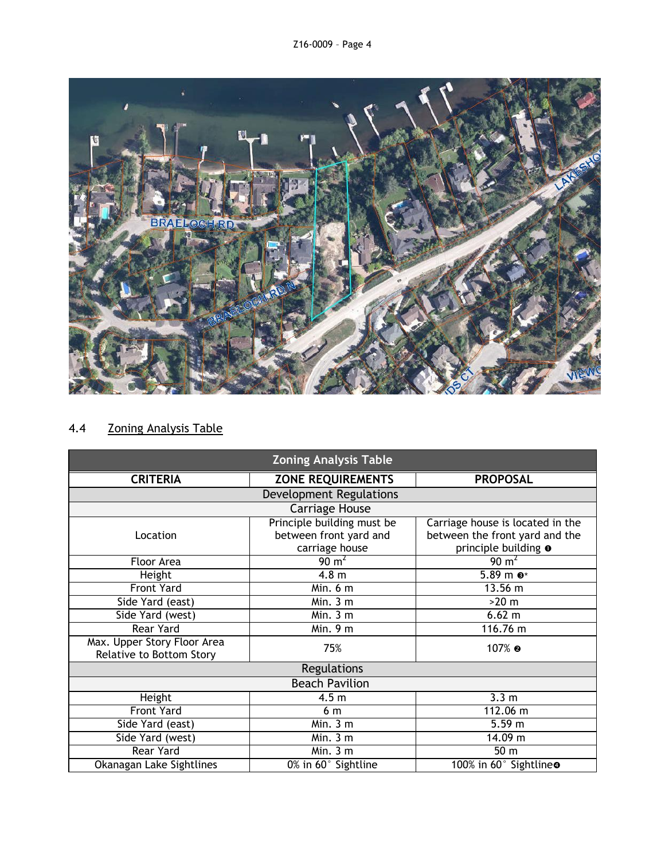

# 4.4 Zoning Analysis Table

| <b>Zoning Analysis Table</b>                            |                                            |                                  |  |  |  |
|---------------------------------------------------------|--------------------------------------------|----------------------------------|--|--|--|
| <b>CRITERIA</b>                                         | <b>ZONE REQUIREMENTS</b>                   | <b>PROPOSAL</b>                  |  |  |  |
| <b>Development Regulations</b>                          |                                            |                                  |  |  |  |
|                                                         | <b>Carriage House</b>                      |                                  |  |  |  |
|                                                         | Principle building must be                 | Carriage house is located in the |  |  |  |
| Location                                                | between front yard and                     | between the front yard and the   |  |  |  |
|                                                         | carriage house                             | principle building o             |  |  |  |
| Floor Area                                              | $90 \text{ m}^2$                           | $90 \text{ m}^2$                 |  |  |  |
| Height                                                  | 4.8 <sub>m</sub>                           | $5.89$ m $\odot$ *               |  |  |  |
| <b>Front Yard</b>                                       | Min. 6 m                                   | $13.56 \; m$                     |  |  |  |
| Side Yard (east)                                        | $\overline{M}$ in. 3 m                     | $>20$ m                          |  |  |  |
| Side Yard (west)                                        | Min.3 m                                    | 6.62 m                           |  |  |  |
| Rear Yard                                               | Min. 9 m                                   | 116.76 m                         |  |  |  |
| Max. Upper Story Floor Area<br>Relative to Bottom Story | 75%                                        | 107% ๏                           |  |  |  |
| Regulations                                             |                                            |                                  |  |  |  |
| <b>Beach Pavilion</b>                                   |                                            |                                  |  |  |  |
| Height                                                  | 4.5 <sub>m</sub>                           | 3.3 <sub>m</sub>                 |  |  |  |
| <b>Front Yard</b>                                       | 6 m                                        | 112.06 m                         |  |  |  |
| Side Yard (east)                                        | Min. 3 m                                   | 5.59 m                           |  |  |  |
| Side Yard (west)                                        | Min.3 m                                    | 14.09 m                          |  |  |  |
| Rear Yard                                               | Min.3 m                                    | 50 <sub>m</sub>                  |  |  |  |
| Okanagan Lake Sightlines                                | $\overline{0\%}$ in 60 $\degree$ Sightline | 100% in 60° Sightline®           |  |  |  |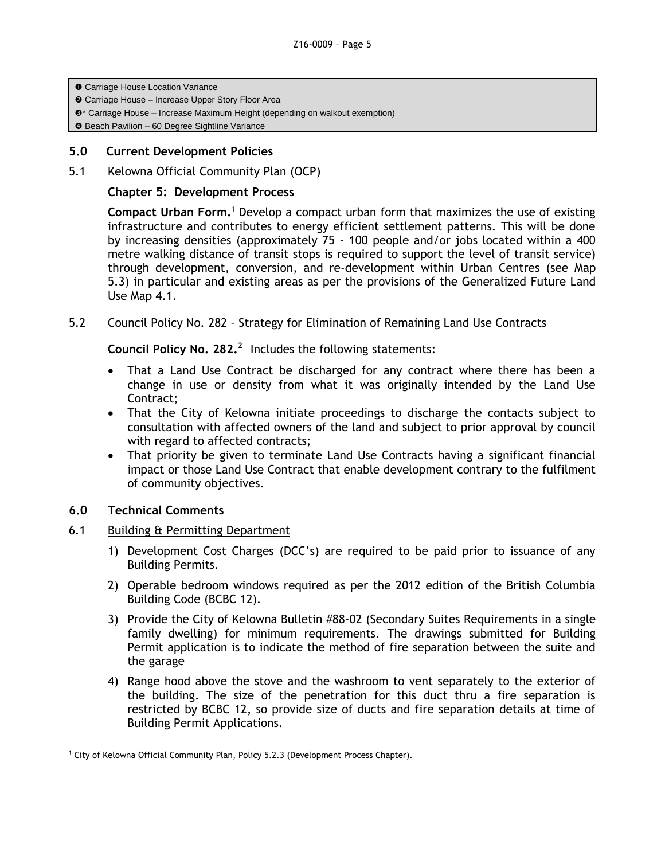**O** Carriage House Location Variance

- **@** Carriage House Increase Upper Story Floor Area
- $\odot$ \* Carriage House Increase Maximum Height (depending on walkout exemption)

Beach Pavilion – 60 Degree Sightline Variance

### **5.0 Current Development Policies**

5.1 Kelowna Official Community Plan (OCP)

#### **Chapter 5: Development Process**

**Compact Urban Form.**<sup>1</sup> Develop a compact urban form that maximizes the use of existing infrastructure and contributes to energy efficient settlement patterns. This will be done by increasing densities (approximately 75 - 100 people and/or jobs located within a 400 metre walking distance of transit stops is required to support the level of transit service) through development, conversion, and re-development within Urban Centres (see Map 5.3) in particular and existing areas as per the provisions of the Generalized Future Land Use Map 4.1.

5.2 Council Policy No. 282 – Strategy for Elimination of Remaining Land Use Contracts

**Council Policy No. 282.<sup>2</sup>**Includes the following statements:

- That a Land Use Contract be discharged for any contract where there has been a change in use or density from what it was originally intended by the Land Use Contract;
- That the City of Kelowna initiate proceedings to discharge the contacts subject to consultation with affected owners of the land and subject to prior approval by council with regard to affected contracts;
- That priority be given to terminate Land Use Contracts having a significant financial impact or those Land Use Contract that enable development contrary to the fulfilment of community objectives.

### **6.0 Technical Comments**

- 6.1 Building & Permitting Department
	- 1) Development Cost Charges (DCC's) are required to be paid prior to issuance of any Building Permits.
	- 2) Operable bedroom windows required as per the 2012 edition of the British Columbia Building Code (BCBC 12).
	- 3) Provide the City of Kelowna Bulletin #88-02 (Secondary Suites Requirements in a single family dwelling) for minimum requirements. The drawings submitted for Building Permit application is to indicate the method of fire separation between the suite and the garage
	- 4) Range hood above the stove and the washroom to vent separately to the exterior of the building. The size of the penetration for this duct thru a fire separation is restricted by BCBC 12, so provide size of ducts and fire separation details at time of Building Permit Applications.

<sup>1</sup>  $1$  City of Kelowna Official Community Plan, Policy 5.2.3 (Development Process Chapter).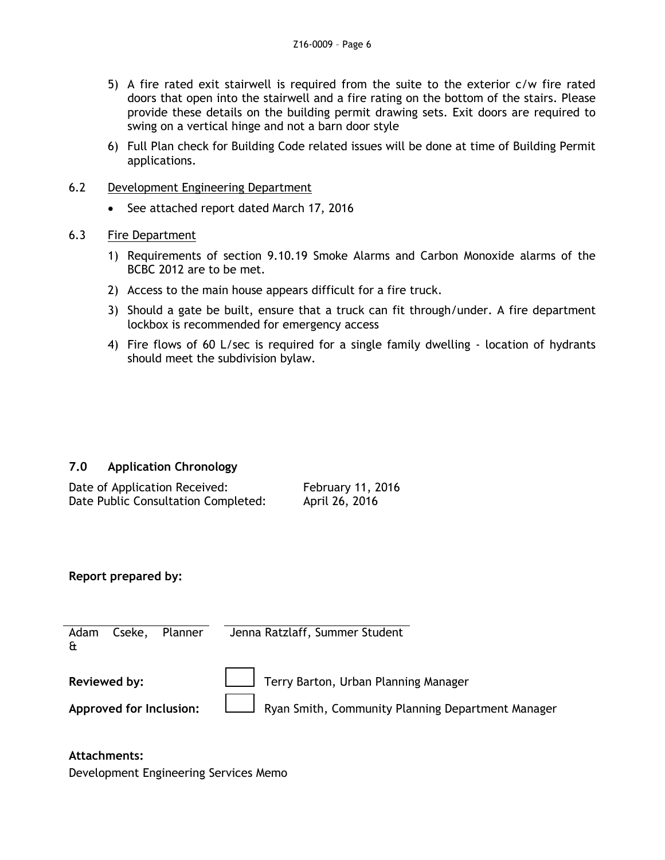- 5) A fire rated exit stairwell is required from the suite to the exterior c/w fire rated doors that open into the stairwell and a fire rating on the bottom of the stairs. Please provide these details on the building permit drawing sets. Exit doors are required to swing on a vertical hinge and not a barn door style
- 6) Full Plan check for Building Code related issues will be done at time of Building Permit applications.
- 6.2 Development Engineering Department
	- See attached report dated March 17, 2016
- 6.3 Fire Department
	- 1) Requirements of section 9.10.19 Smoke Alarms and Carbon Monoxide alarms of the BCBC 2012 are to be met.
	- 2) Access to the main house appears difficult for a fire truck.
	- 3) Should a gate be built, ensure that a truck can fit through/under. A fire department lockbox is recommended for emergency access
	- 4) Fire flows of 60 L/sec is required for a single family dwelling location of hydrants should meet the subdivision bylaw.

# **7.0 Application Chronology**

| Date of Application Received:       | <b>February 11, 2016</b> |
|-------------------------------------|--------------------------|
| Date Public Consultation Completed: | April 26, 2016           |

### **Report prepared by:**

| Cseke, Planner<br>Adam<br>$\mathbf{f}$ | Jenna Ratzlaff, Summer Student                                                                                    |
|----------------------------------------|-------------------------------------------------------------------------------------------------------------------|
| Reviewed by:                           | Terry Barton, Urban Planning Manager<br>Approved for Inclusion: Ryan Smith, Community Planning Department Manager |

### **Attachments:**

Development Engineering Services Memo